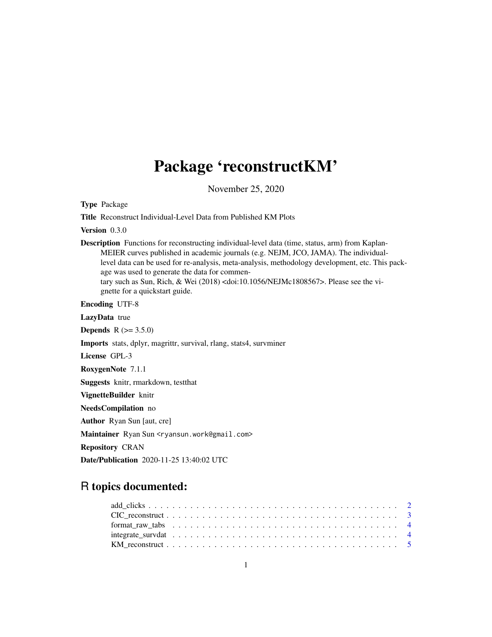## Package 'reconstructKM'

November 25, 2020

Type Package

Title Reconstruct Individual-Level Data from Published KM Plots

Version 0.3.0

Description Functions for reconstructing individual-level data (time, status, arm) from Kaplan-MEIER curves published in academic journals (e.g. NEJM, JCO, JAMA). The individuallevel data can be used for re-analysis, meta-analysis, methodology development, etc. This package was used to generate the data for commentary such as Sun, Rich, & Wei (2018) <doi:10.1056/NEJMc1808567>. Please see the vignette for a quickstart guide.

Encoding UTF-8

LazyData true

**Depends** R  $(>= 3.5.0)$ 

Imports stats, dplyr, magrittr, survival, rlang, stats4, survminer

License GPL-3

RoxygenNote 7.1.1

Suggests knitr, rmarkdown, testthat

VignetteBuilder knitr

NeedsCompilation no

Author Ryan Sun [aut, cre]

Maintainer Ryan Sun <ryansun.work@gmail.com>

Repository CRAN

Date/Publication 2020-11-25 13:40:02 UTC

### R topics documented: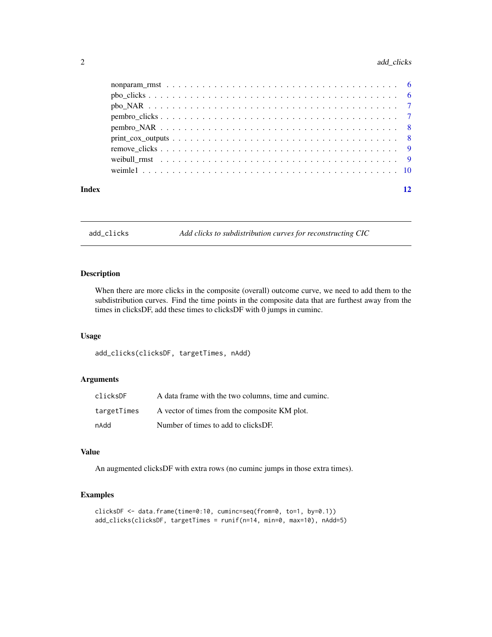#### <span id="page-1-0"></span>2 add\_clicks

|       | $print\_cox\_outputs \dots \dots \dots \dots \dots \dots \dots \dots \dots \dots \dots \dots \dots \dots \dots \dots$ |  |
|-------|-----------------------------------------------------------------------------------------------------------------------|--|
|       |                                                                                                                       |  |
|       |                                                                                                                       |  |
|       |                                                                                                                       |  |
| Index | 12                                                                                                                    |  |

add\_clicks *Add clicks to subdistribution curves for reconstructing CIC*

#### Description

When there are more clicks in the composite (overall) outcome curve, we need to add them to the subdistribution curves. Find the time points in the composite data that are furthest away from the times in clicksDF, add these times to clicksDF with 0 jumps in cuminc.

#### Usage

add\_clicks(clicksDF, targetTimes, nAdd)

#### Arguments

| clicksDF    | A data frame with the two columns, time and cuminc. |
|-------------|-----------------------------------------------------|
| targetTimes | A vector of times from the composite KM plot.       |
| nAdd        | Number of times to add to clicksDF.                 |

#### Value

An augmented clicksDF with extra rows (no cuminc jumps in those extra times).

```
clicksDF <- data.frame(time=0:10, cuminc=seq(from=0, to=1, by=0.1))
add_clicks(clicksDF, targetTimes = runif(n=14, min=0, max=10), nAdd=5)
```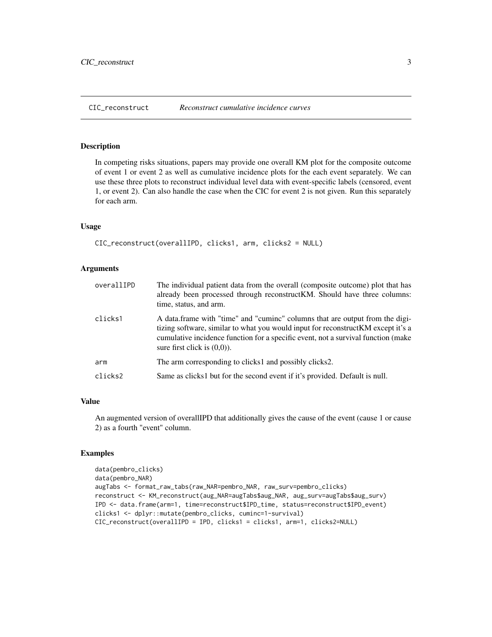<span id="page-2-0"></span>

In competing risks situations, papers may provide one overall KM plot for the composite outcome of event 1 or event 2 as well as cumulative incidence plots for the each event separately. We can use these three plots to reconstruct individual level data with event-specific labels (censored, event 1, or event 2). Can also handle the case when the CIC for event 2 is not given. Run this separately for each arm.

#### Usage

```
CIC_reconstruct(overallIPD, clicks1, arm, clicks2 = NULL)
```
#### **Arguments**

| overallIPD | The individual patient data from the overall (composite outcome) plot that has<br>already been processed through reconstruct KM. Should have three columns:<br>time, status, and arm.                                                                                                    |
|------------|------------------------------------------------------------------------------------------------------------------------------------------------------------------------------------------------------------------------------------------------------------------------------------------|
| clicks1    | A data frame with "time" and "cumine" columns that are output from the digi-<br>tizing software, similar to what you would input for reconstruct KM except it's a<br>cumulative incidence function for a specific event, not a survival function (make<br>sure first click is $(0,0)$ ). |
| arm        | The arm corresponding to clicks1 and possibly clicks2.                                                                                                                                                                                                                                   |
| clicks2    | Same as clicks1 but for the second event if it's provided. Default is null.                                                                                                                                                                                                              |

#### Value

An augmented version of overallIPD that additionally gives the cause of the event (cause 1 or cause 2) as a fourth "event" column.

```
data(pembro_clicks)
data(pembro_NAR)
augTabs <- format_raw_tabs(raw_NAR=pembro_NAR, raw_surv=pembro_clicks)
reconstruct <- KM_reconstruct(aug_NAR=augTabs$aug_NAR, aug_surv=augTabs$aug_surv)
IPD <- data.frame(arm=1, time=reconstruct$IPD_time, status=reconstruct$IPD_event)
clicks1 <- dplyr::mutate(pembro_clicks, cuminc=1-survival)
CIC_reconstruct(overallIPD = IPD, clicks1 = clicks1, arm=1, clicks2=NULL)
```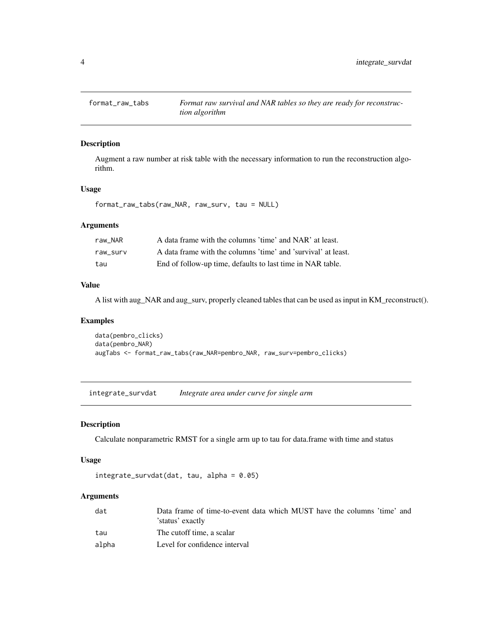<span id="page-3-0"></span>

Augment a raw number at risk table with the necessary information to run the reconstruction algorithm.

#### Usage

format\_raw\_tabs(raw\_NAR, raw\_surv, tau = NULL)

#### Arguments

| raw NAR  | A data frame with the columns 'time' and NAR' at least.       |
|----------|---------------------------------------------------------------|
| raw surv | A data frame with the columns 'time' and 'survival' at least. |
| tau      | End of follow-up time, defaults to last time in NAR table.    |

#### Value

A list with aug\_NAR and aug\_surv, properly cleaned tables that can be used as input in KM\_reconstruct().

#### Examples

data(pembro\_clicks) data(pembro\_NAR) augTabs <- format\_raw\_tabs(raw\_NAR=pembro\_NAR, raw\_surv=pembro\_clicks)

integrate\_survdat *Integrate area under curve for single arm*

#### Description

Calculate nonparametric RMST for a single arm up to tau for data.frame with time and status

#### Usage

```
integrate\_survdat(data, tau, alpha = 0.05)
```
#### Arguments

| dat   | Data frame of time-to-event data which MUST have the columns 'time' and |
|-------|-------------------------------------------------------------------------|
|       | 'status' exactly                                                        |
| tau   | The cutoff time, a scalar                                               |
| alpha | Level for confidence interval                                           |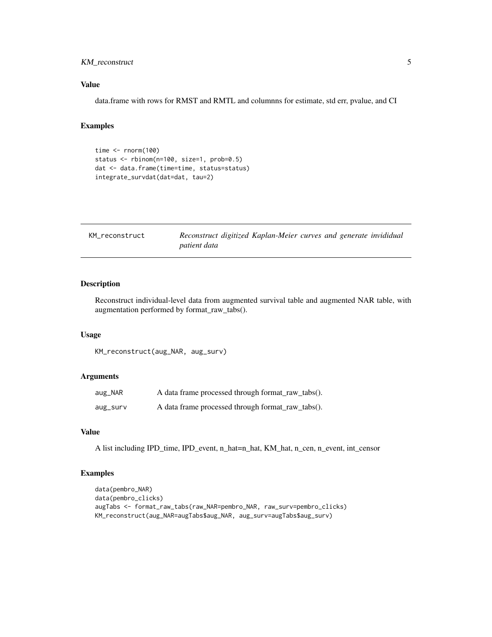#### <span id="page-4-0"></span>KM\_reconstruct 5

#### Value

data.frame with rows for RMST and RMTL and columnns for estimate, std err, pvalue, and CI

#### Examples

```
time \le- rnorm(100)status <- rbinom(n=100, size=1, prob=0.5)
dat <- data.frame(time=time, status=status)
integrate_survdat(dat=dat, tau=2)
```

| KM reconstruct | Reconstruct digitized Kaplan-Meier curves and generate invididual |
|----------------|-------------------------------------------------------------------|
|                | <i>patient data</i>                                               |

#### Description

Reconstruct individual-level data from augmented survival table and augmented NAR table, with augmentation performed by format\_raw\_tabs().

#### Usage

KM\_reconstruct(aug\_NAR, aug\_surv)

#### Arguments

| aug_NAR  | A data frame processed through format_raw_tabs(). |
|----------|---------------------------------------------------|
| aug_surv | A data frame processed through format_raw_tabs(). |

#### Value

A list including IPD\_time, IPD\_event, n\_hat=n\_hat, KM\_hat, n\_cen, n\_event, int\_censor

```
data(pembro_NAR)
data(pembro_clicks)
augTabs <- format_raw_tabs(raw_NAR=pembro_NAR, raw_surv=pembro_clicks)
KM_reconstruct(aug_NAR=augTabs$aug_NAR, aug_surv=augTabs$aug_surv)
```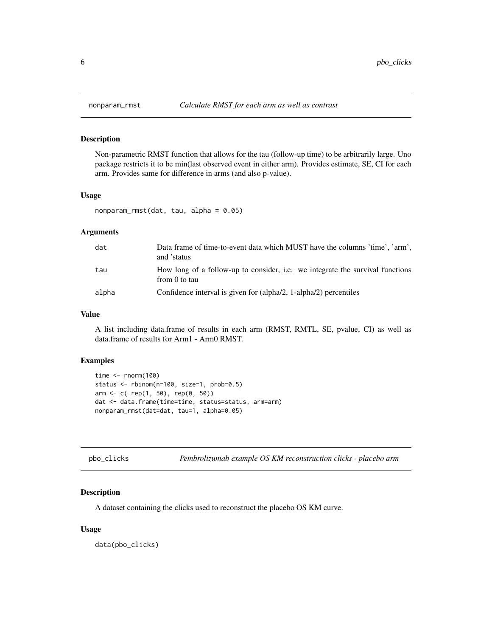Non-parametric RMST function that allows for the tau (follow-up time) to be arbitrarily large. Uno package restricts it to be min(last observed event in either arm). Provides estimate, SE, CI for each arm. Provides same for difference in arms (and also p-value).

#### Usage

```
nonparam\_rmst(data, tau, alpha = <math>0.05</math>)
```
#### Arguments

| dat   | Data frame of time-to-event data which MUST have the columns 'time', 'arm',<br>and 'status     |
|-------|------------------------------------------------------------------------------------------------|
| tau   | How long of a follow-up to consider, i.e. we integrate the survival functions<br>from 0 to tau |
| alpha | Confidence interval is given for (alpha/2, 1-alpha/2) percentiles                              |

#### Value

A list including data.frame of results in each arm (RMST, RMTL, SE, pvalue, CI) as well as data.frame of results for Arm1 - Arm0 RMST.

#### Examples

```
time <- rnorm(100)
status <- rbinom(n=100, size=1, prob=0.5)
arm <- c( rep(1, 50), rep(0, 50))
dat <- data.frame(time=time, status=status, arm=arm)
nonparam_rmst(dat=dat, tau=1, alpha=0.05)
```

| Pembrolizumab example OS KM reconstruction clicks - placebo arm<br>pbo_clicks |  |
|-------------------------------------------------------------------------------|--|
|-------------------------------------------------------------------------------|--|

#### Description

A dataset containing the clicks used to reconstruct the placebo OS KM curve.

#### Usage

data(pbo\_clicks)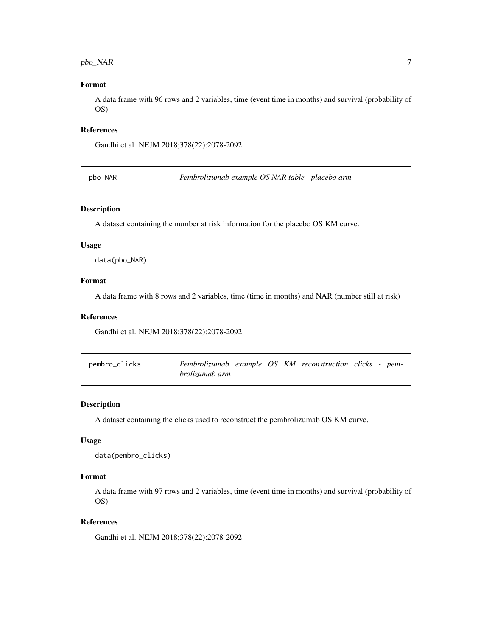#### <span id="page-6-0"></span> $pbo_NAR$  7

#### Format

A data frame with 96 rows and 2 variables, time (event time in months) and survival (probability of OS)

#### References

Gandhi et al. NEJM 2018;378(22):2078-2092

pbo\_NAR *Pembrolizumab example OS NAR table - placebo arm*

#### Description

A dataset containing the number at risk information for the placebo OS KM curve.

#### Usage

data(pbo\_NAR)

#### Format

A data frame with 8 rows and 2 variables, time (time in months) and NAR (number still at risk)

#### References

Gandhi et al. NEJM 2018;378(22):2078-2092

| pembro_clicks | Pembrolizumab example OS KM reconstruction clicks - pem- |  |  |  |  |
|---------------|----------------------------------------------------------|--|--|--|--|
|               | <i>brolizumab arm</i>                                    |  |  |  |  |

#### Description

A dataset containing the clicks used to reconstruct the pembrolizumab OS KM curve.

#### Usage

```
data(pembro_clicks)
```
#### Format

A data frame with 97 rows and 2 variables, time (event time in months) and survival (probability of OS)

#### References

Gandhi et al. NEJM 2018;378(22):2078-2092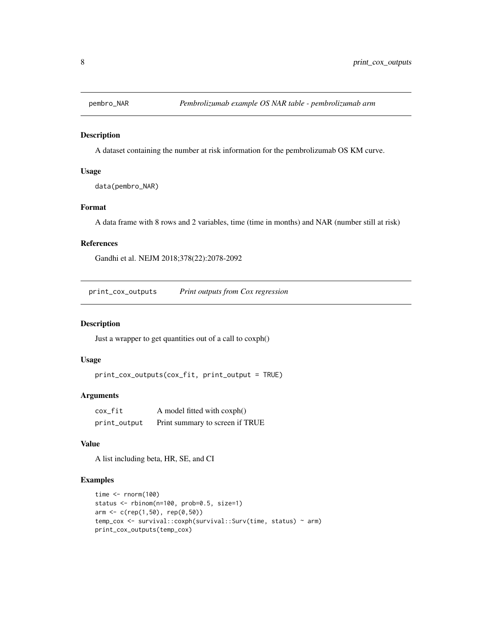<span id="page-7-0"></span>

A dataset containing the number at risk information for the pembrolizumab OS KM curve.

#### Usage

data(pembro\_NAR)

#### Format

A data frame with 8 rows and 2 variables, time (time in months) and NAR (number still at risk)

#### References

Gandhi et al. NEJM 2018;378(22):2078-2092

print\_cox\_outputs *Print outputs from Cox regression*

#### Description

Just a wrapper to get quantities out of a call to coxph()

#### Usage

```
print_cox_outputs(cox_fit, print_output = TRUE)
```
#### Arguments

| cox fit      | A model fitted with coxph()     |
|--------------|---------------------------------|
| print_output | Print summary to screen if TRUE |

#### Value

A list including beta, HR, SE, and CI

```
time <- rnorm(100)
status <- rbinom(n=100, prob=0.5, size=1)
arm <- c(rep(1,50), rep(0,50))
temp_cox <- survival::coxph(survival::Surv(time, status) ~ arm)
print_cox_outputs(temp_cox)
```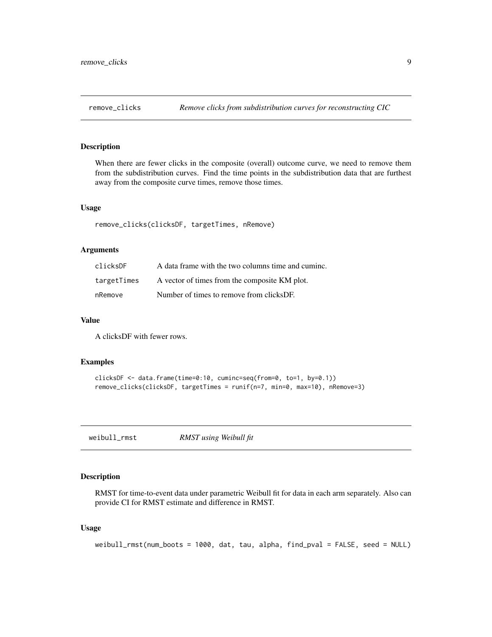<span id="page-8-0"></span>

When there are fewer clicks in the composite (overall) outcome curve, we need to remove them from the subdistribution curves. Find the time points in the subdistribution data that are furthest away from the composite curve times, remove those times.

#### Usage

remove\_clicks(clicksDF, targetTimes, nRemove)

#### **Arguments**

| clicksDF    | A data frame with the two columns time and cuminc. |
|-------------|----------------------------------------------------|
| targetTimes | A vector of times from the composite KM plot.      |
| nRemove     | Number of times to remove from clicksDF.           |

#### Value

A clicksDF with fewer rows.

#### Examples

```
clicksDF <- data.frame(time=0:10, cuminc=seq(from=0, to=1, by=0.1))
remove_clicks(clicksDF, targetTimes = runif(n=7, min=0, max=10), nRemove=3)
```
weibull\_rmst *RMST using Weibull fit*

#### Description

RMST for time-to-event data under parametric Weibull fit for data in each arm separately. Also can provide CI for RMST estimate and difference in RMST.

#### Usage

weibull\_rmst(num\_boots = 1000, dat, tau, alpha, find\_pval = FALSE, seed = NULL)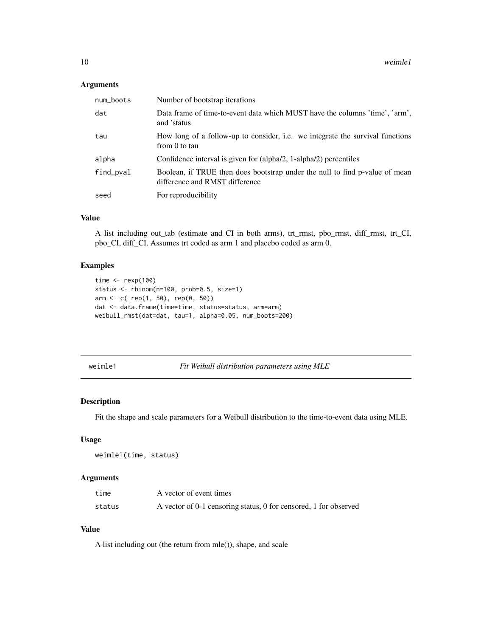#### <span id="page-9-0"></span>Arguments

| num_boots | Number of bootstrap iterations                                                                                |
|-----------|---------------------------------------------------------------------------------------------------------------|
| dat       | Data frame of time-to-event data which MUST have the columns 'time', 'arm',<br>and 'status                    |
| tau       | How long of a follow-up to consider, i.e. we integrate the survival functions<br>from 0 to tau                |
| alpha     | Confidence interval is given for (alpha/2, 1-alpha/2) percentiles                                             |
| find_pval | Boolean, if TRUE then does bootstrap under the null to find p-value of mean<br>difference and RMST difference |
| seed      | For reproducibility                                                                                           |

#### Value

A list including out\_tab (estimate and CI in both arms), trt\_rmst, pbo\_rmst, diff\_rmst, trt\_CI, pbo\_CI, diff\_CI. Assumes trt coded as arm 1 and placebo coded as arm 0.

#### Examples

```
time \leftarrow rexp(100)
status <- rbinom(n=100, prob=0.5, size=1)
arm <- c( rep(1, 50), rep(0, 50))
dat <- data.frame(time=time, status=status, arm=arm)
weibull_rmst(dat=dat, tau=1, alpha=0.05, num_boots=200)
```
weimle1 *Fit Weibull distribution parameters using MLE*

#### Description

Fit the shape and scale parameters for a Weibull distribution to the time-to-event data using MLE.

#### Usage

```
weimle1(time, status)
```
#### Arguments

| time   | A vector of event times                                          |
|--------|------------------------------------------------------------------|
| status | A vector of 0-1 censoring status, 0 for censored, 1 for observed |

#### Value

A list including out (the return from mle()), shape, and scale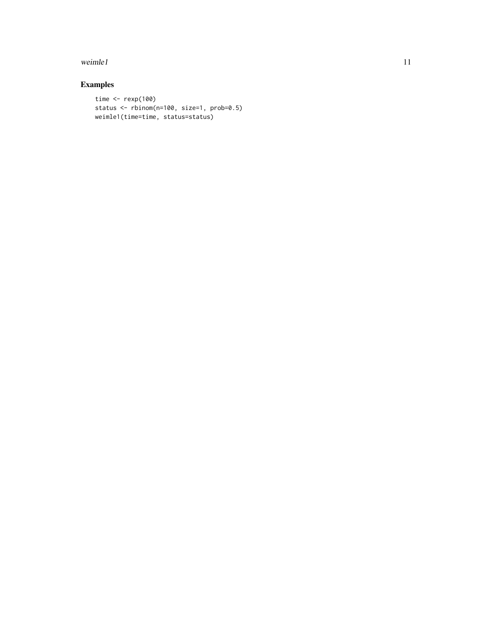#### weimle1  $11$

```
time <- rexp(100)
status <- rbinom(n=100, size=1, prob=0.5)
weimle1(time=time, status=status)
```